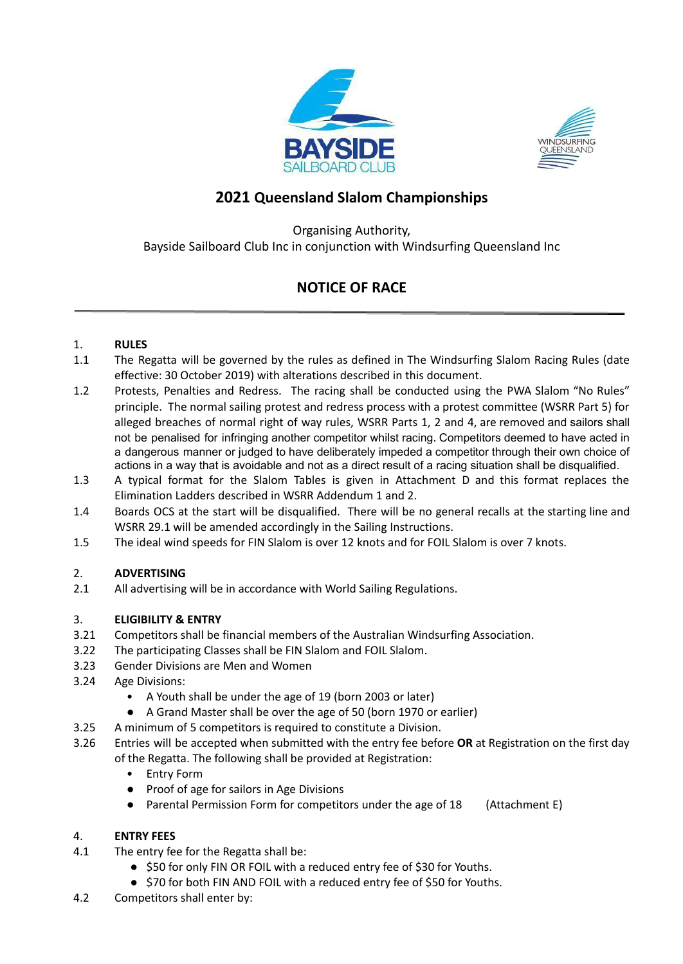



## **2021 Queensland Slalom Championships**

Organising Authority, Bayside Sailboard Club Inc in conjunction with Windsurfing Queensland Inc

## **NOTICE OF RACE**

### 1. **RULES**

- 1.1 The Regatta will be governed by the rules as defined in The Windsurfing Slalom Racing Rules (date effective: 30 October 2019) with alterations described in this document.
- 1.2 Protests, Penalties and Redress. The racing shall be conducted using the PWA Slalom "No Rules" principle. The normal sailing protest and redress process with a protest committee (WSRR Part 5) for alleged breaches of normal right of way rules, WSRR Parts 1, 2 and 4, are removed and sailors shall not be penalised for infringing another competitor whilst racing. Competitors deemed to have acted in a dangerous manner or judged to have deliberately impeded a competitor through their own choice of actions in a way that is avoidable and not as a direct result of a racing situation shall be disqualified.
- 1.3 A typical format for the Slalom Tables is given in Attachment D and this format replaces the Elimination Ladders described in WSRR Addendum 1 and 2.
- 1.4 Boards OCS at the start will be disqualified. There will be no general recalls at the starting line and WSRR 29.1 will be amended accordingly in the Sailing Instructions.
- 1.5 The ideal wind speeds for FIN Slalom is over 12 knots and for FOIL Slalom is over 7 knots.

### 2. **ADVERTISING**

2.1 All advertising will be in accordance with World Sailing Regulations.

### 3. **ELIGIBILITY & ENTRY**

- 3.21 Competitors shall be financial members of the Australian Windsurfing Association.
- 3.22 The participating Classes shall be FIN Slalom and FOIL Slalom.
- 3.23 Gender Divisions are Men and Women
- 3.24 Age Divisions:
	- A Youth shall be under the age of 19 (born 2003 or later)
	- A Grand Master shall be over the age of 50 (born 1970 or earlier)
- 3.25 A minimum of 5 competitors is required to constitute a Division.
- 3.26 Entries will be accepted when submitted with the entry fee before **OR** at Registration on the first day
	- of the Regatta. The following shall be provided at Registration:
		- Entry Form
		- Proof of age for sailors in Age Divisions
		- Parental Permission Form for competitors under the age of 18 (Attachment E)

### 4. **ENTRY FEES**

- 4.1 The entry fee for the Regatta shall be:
	- \$50 for only FIN OR FOIL with a reduced entry fee of \$30 for Youths.
	- \$70 for both FIN AND FOIL with a reduced entry fee of \$50 for Youths.
- 4.2 Competitors shall enter by: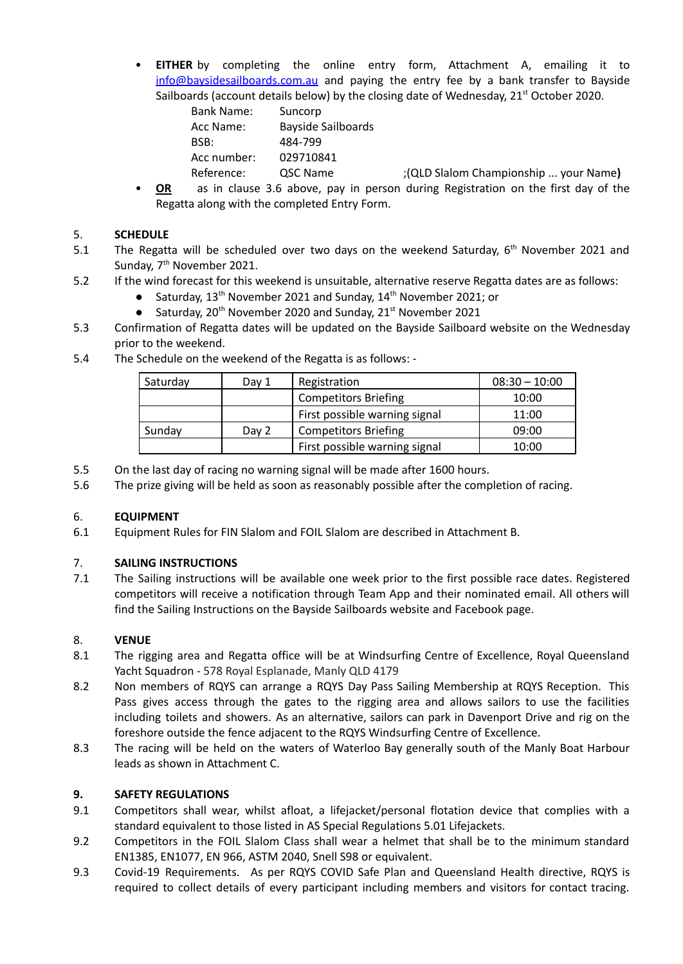• **EITHER** by completing the online entry form, Attachment A, emailing it to [info@baysidesailboards.com.au](mailto:info@baysidesailboards.com.au) and paying the entry fee by a bank transfer to Bayside Sailboards (account details below) by the closing date of Wednesday, 21<sup>st</sup> October 2020.

| <b>Bank Name:</b> | Suncorp            |                                       |
|-------------------|--------------------|---------------------------------------|
| Acc Name:         | Bayside Sailboards |                                       |
| BSB:              | 484-799            |                                       |
| Acc number:       | 029710841          |                                       |
| Reference:        | QSC Name           | ;(QLD Slalom Championship  your Name) |
|                   |                    |                                       |

• **OR** as in clause 3.6 above, pay in person during Registration on the first day of the Regatta along with the completed Entry Form.

### 5. **SCHEDULE**

- 5.1 The Regatta will be scheduled over two days on the weekend Saturday,  $6<sup>th</sup>$  November 2021 and Sunday, 7<sup>th</sup> November 2021.
- 5.2 If the wind forecast for this weekend is unsuitable, alternative reserve Regatta dates are as follows:
	- Saturday, 13<sup>th</sup> November 2021 and Sunday, 14<sup>th</sup> November 2021; or
	- Saturday,  $20^{th}$  November 2020 and Sunday,  $21^{st}$  November 2021
- 5.3 Confirmation of Regatta dates will be updated on the Bayside Sailboard website on the Wednesday prior to the weekend.
- 5.4 The Schedule on the weekend of the Regatta is as follows: -

| Saturday | Dav 1 | Registration                  | $08:30 - 10:00$ |
|----------|-------|-------------------------------|-----------------|
|          |       | <b>Competitors Briefing</b>   | 10:00           |
|          |       | First possible warning signal | 11:00           |
| Sunday   | Day 2 | <b>Competitors Briefing</b>   | 09:00           |
|          |       | First possible warning signal | 10:00           |

- 5.5 On the last day of racing no warning signal will be made after 1600 hours.
- 5.6 The prize giving will be held as soon as reasonably possible after the completion of racing.

#### 6. **EQUIPMENT**

6.1 Equipment Rules for FIN Slalom and FOIL Slalom are described in Attachment B.

### 7. **SAILING INSTRUCTIONS**

7.1 The Sailing instructions will be available one week prior to the first possible race dates. Registered competitors will receive a notification through Team App and their nominated email. All others will find the Sailing Instructions on the Bayside Sailboards website and Facebook page.

#### 8. **VENUE**

- 8.1 The rigging area and Regatta office will be at Windsurfing Centre of Excellence, Royal Queensland Yacht Squadron - 578 Royal Esplanade, Manly QLD 4179
- 8.2 Non members of RQYS can arrange a RQYS Day Pass Sailing Membership at RQYS Reception. This Pass gives access through the gates to the rigging area and allows sailors to use the facilities including toilets and showers. As an alternative, sailors can park in Davenport Drive and rig on the foreshore outside the fence adjacent to the RQYS Windsurfing Centre of Excellence.
- 8.3 The racing will be held on the waters of Waterloo Bay generally south of the Manly Boat Harbour leads as shown in Attachment C.

### **9. SAFETY REGULATIONS**

- 9.1 Competitors shall wear, whilst afloat, a lifejacket/personal flotation device that complies with a standard equivalent to those listed in AS Special Regulations 5.01 Lifejackets.
- 9.2 Competitors in the FOIL Slalom Class shall wear a helmet that shall be to the minimum standard EN1385, EN1077, EN 966, ASTM 2040, Snell S98 or equivalent.
- 9.3 Covid-19 Requirements. As per RQYS COVID Safe Plan and Queensland Health directive, RQYS is required to collect details of every participant including members and visitors for contact tracing.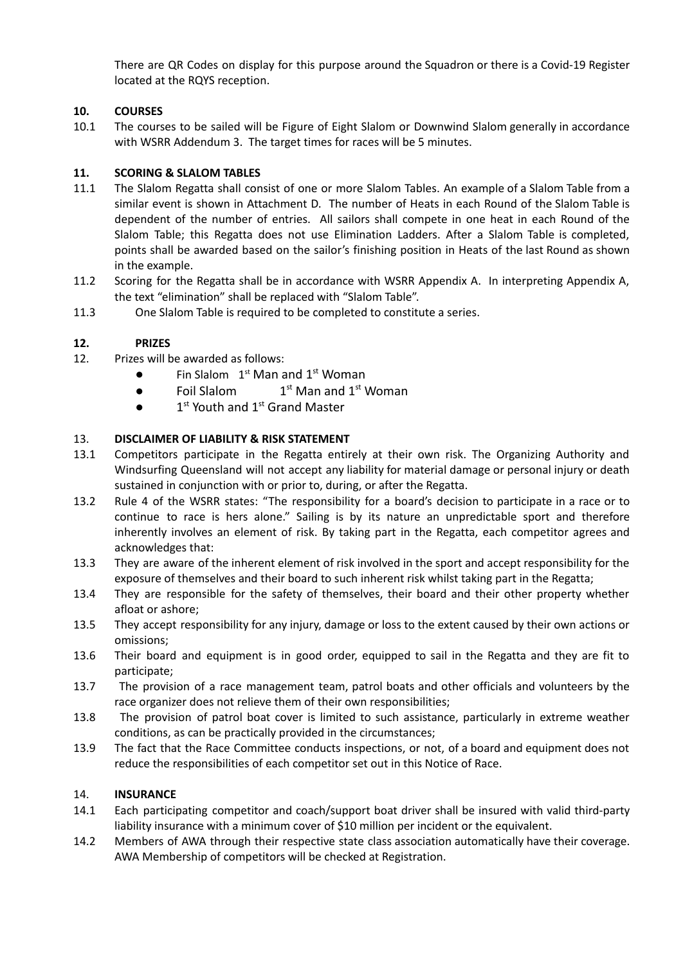There are QR Codes on display for this purpose around the Squadron or there is a Covid-19 Register located at the RQYS reception.

### **10. COURSES**

10.1 The courses to be sailed will be Figure of Eight Slalom or Downwind Slalom generally in accordance with WSRR Addendum 3. The target times for races will be 5 minutes.

### **11. SCORING & SLALOM TABLES**

- 11.1 The Slalom Regatta shall consist of one or more Slalom Tables. An example of a Slalom Table from a similar event is shown in Attachment D. The number of Heats in each Round of the Slalom Table is dependent of the number of entries. All sailors shall compete in one heat in each Round of the Slalom Table; this Regatta does not use Elimination Ladders. After a Slalom Table is completed, points shall be awarded based on the sailor's finishing position in Heats of the last Round as shown in the example.
- 11.2 Scoring for the Regatta shall be in accordance with WSRR Appendix A. In interpreting Appendix A, the text "elimination" shall be replaced with "Slalom Table".
- 11.3 One Slalom Table is required to be completed to constitute a series.

### **12. PRIZES**

- 12. Prizes will be awarded as follows:
	- $\bullet$  Fin Slalom  $1^{st}$  Man and  $1^{st}$  Woman
	- Foil Slalom 1  $1<sup>st</sup>$  Man and  $1<sup>st</sup>$  Woman
	- $\bullet$  1<sup>st</sup> Youth and 1<sup>st</sup> Grand Master

### 13. **DISCLAIMER OF LIABILITY & RISK STATEMENT**

- 13.1 Competitors participate in the Regatta entirely at their own risk. The Organizing Authority and Windsurfing Queensland will not accept any liability for material damage or personal injury or death sustained in conjunction with or prior to, during, or after the Regatta.
- 13.2 Rule 4 of the WSRR states: "The responsibility for a board's decision to participate in a race or to continue to race is hers alone." Sailing is by its nature an unpredictable sport and therefore inherently involves an element of risk. By taking part in the Regatta, each competitor agrees and acknowledges that:
- 13.3 They are aware of the inherent element of risk involved in the sport and accept responsibility for the exposure of themselves and their board to such inherent risk whilst taking part in the Regatta;
- 13.4 They are responsible for the safety of themselves, their board and their other property whether afloat or ashore;
- 13.5 They accept responsibility for any injury, damage or loss to the extent caused by their own actions or omissions;
- 13.6 Their board and equipment is in good order, equipped to sail in the Regatta and they are fit to participate;
- 13.7 The provision of a race management team, patrol boats and other officials and volunteers by the race organizer does not relieve them of their own responsibilities;
- 13.8 The provision of patrol boat cover is limited to such assistance, particularly in extreme weather conditions, as can be practically provided in the circumstances;
- 13.9 The fact that the Race Committee conducts inspections, or not, of a board and equipment does not reduce the responsibilities of each competitor set out in this Notice of Race.

### 14. **INSURANCE**

- 14.1 Each participating competitor and coach/support boat driver shall be insured with valid third-party liability insurance with a minimum cover of \$10 million per incident or the equivalent.
- 14.2 Members of AWA through their respective state class association automatically have their coverage. AWA Membership of competitors will be checked at Registration.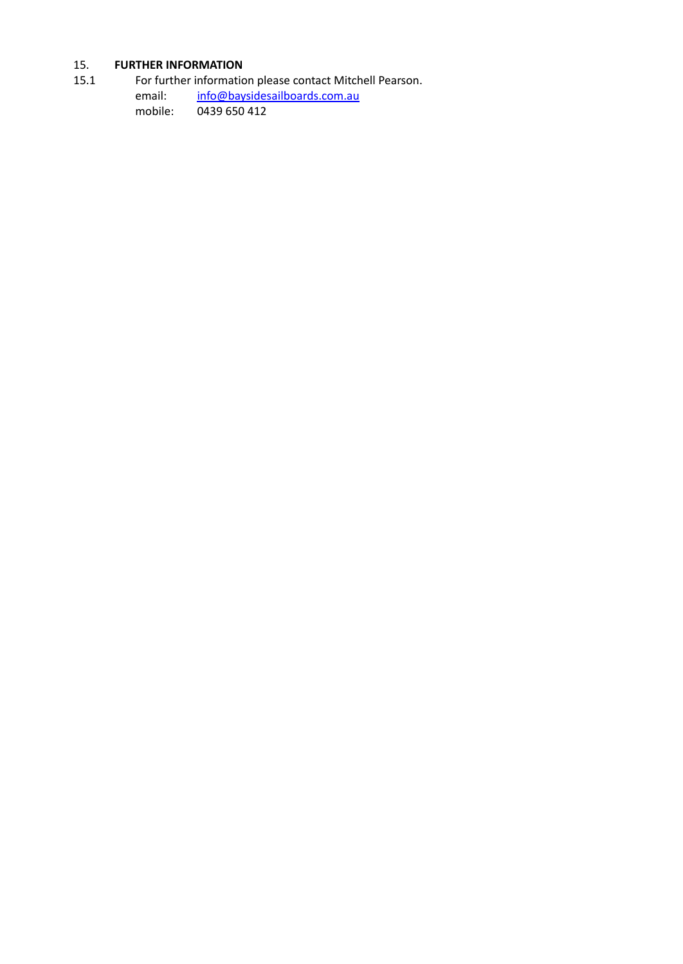## 15. **FURTHER INFORMATION**

15.1 For further information please contact Mitchell Pearson.<br>email: info@baysidesailboards.com.au

[info@baysidesailboards.com.au](mailto:info@baysidesailboards.com.au) mobile: 0439 650 412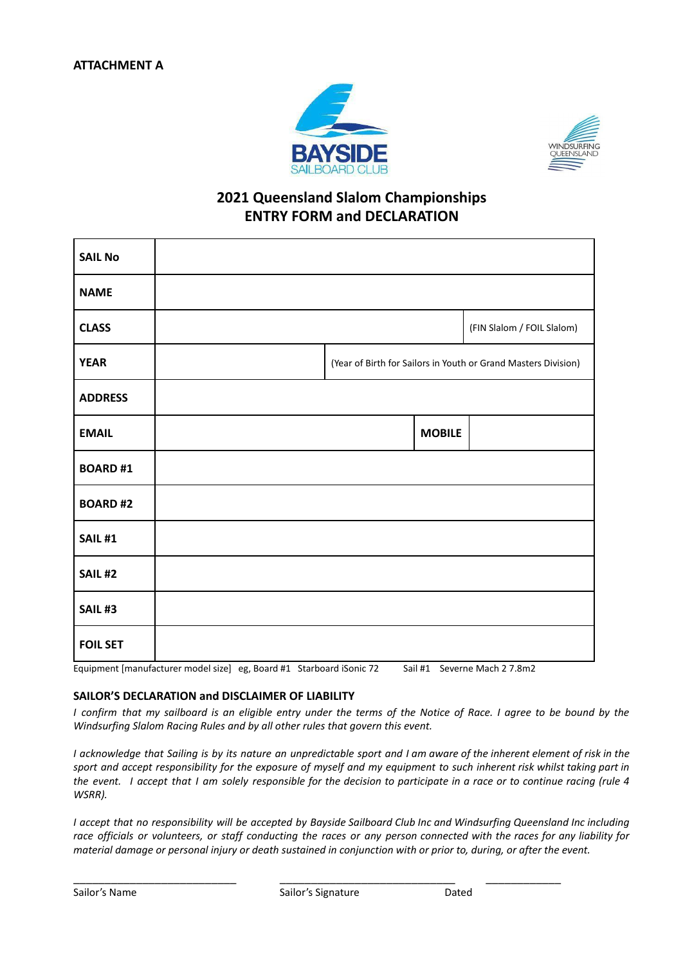



## **2021 Queensland Slalom Championships ENTRY FORM and DECLARATION**

| <b>SAIL No</b>  |  |               |                                                                |
|-----------------|--|---------------|----------------------------------------------------------------|
| <b>NAME</b>     |  |               |                                                                |
| <b>CLASS</b>    |  |               | (FIN Slalom / FOIL Slalom)                                     |
| <b>YEAR</b>     |  |               | (Year of Birth for Sailors in Youth or Grand Masters Division) |
| <b>ADDRESS</b>  |  |               |                                                                |
| <b>EMAIL</b>    |  | <b>MOBILE</b> |                                                                |
| <b>BOARD#1</b>  |  |               |                                                                |
| <b>BOARD#2</b>  |  |               |                                                                |
| <b>SAIL #1</b>  |  |               |                                                                |
| <b>SAIL #2</b>  |  |               |                                                                |
| <b>SAIL #3</b>  |  |               |                                                                |
| <b>FOIL SET</b> |  |               |                                                                |

Equipment [manufacturer model size] eg, Board #1 Starboard iSonic 72 Sail #1 Severne Mach 2 7.8m2

#### **SAILOR'S DECLARATION and DISCLAIMER OF LIABILITY**

I confirm that my sailboard is an eligible entry under the terms of the Notice of Race. I agree to be bound by the *Windsurfing Slalom Racing Rules and by all other rules that govern this event.*

I acknowledge that Sailing is by its nature an unpredictable sport and I am aware of the inherent element of risk in the sport and accept responsibility for the exposure of myself and my equipment to such inherent risk whilst taking part in the event. I accept that I am solely responsible for the decision to participate in a race or to continue racing (rule 4 *WSRR).*

I accept that no responsibility will be accepted by Bayside Sailboard Club Inc and Windsurfing Queensland Inc including race officials or volunteers, or staff conducting the races or any person connected with the races for any liability for material damage or personal injury or death sustained in conjunction with or prior to, during, or after the event.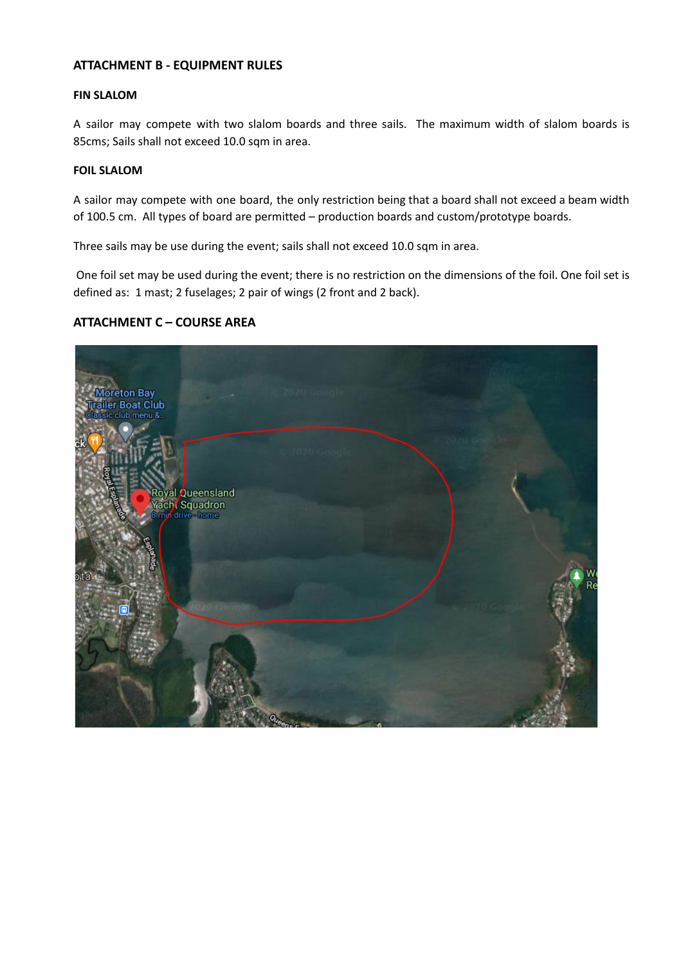### **ATTACHMENT B - EQUIPMENT RULES**

#### **FIN SLALOM**

A sailor may compete with two slalom boards and three sails. The maximum width of slalom boards is 85cms; Sails shall not exceed 10.0 sqm in area.

#### **FOIL SLALOM**

A sailor may compete with one board, the only restriction being that a board shall not exceed a beam width of 100.5 cm. All types of board are permitted – production boards and custom/prototype boards.

Three sails may be use during the event; sails shall not exceed 10.0 sqm in area.

One foil set may be used during the event; there is no restriction on the dimensions of the foil. One foil set is defined as: 1 mast; 2 fuselages; 2 pair of wings (2 front and 2 back).

### **ATTACHMENT C – COURSE AREA**

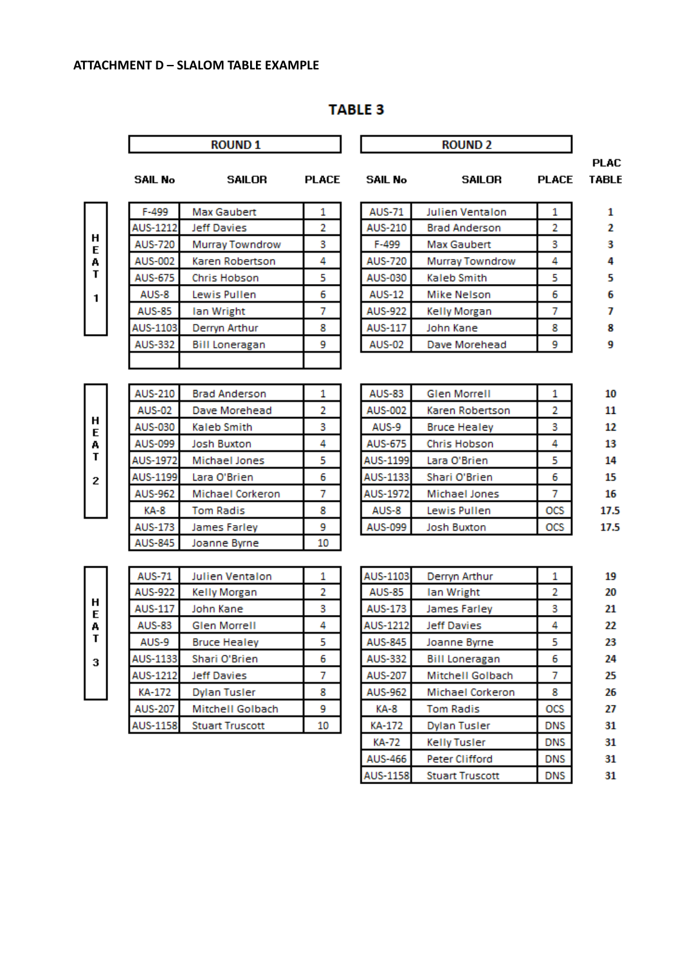#### ATTACHMENT D - SLALOM TABLE EXAMPLE

|   |                            | <b>ROUND1</b>                    |              |                 | <b>ROUND 2</b>                          |              |  |  |
|---|----------------------------|----------------------------------|--------------|-----------------|-----------------------------------------|--------------|--|--|
|   | <b>SAIL No</b>             | <b>SAILOR</b>                    | <b>PLACE</b> | <b>SAIL No</b>  | <b>SAILOR</b>                           | <b>PLACE</b> |  |  |
|   | F-499                      | <b>Max Gaubert</b>               | 1            | <b>AUS-71</b>   | Julien Ventalon                         | 1            |  |  |
| н | AUS-1212                   | <b>Jeff Davies</b>               | 2            | AUS-210         | <b>Brad Anderson</b>                    | 2            |  |  |
|   | <b>AUS-720</b>             | Murray Towndrow                  | 3            | F-499           | <b>Max Gaubert</b>                      | 3            |  |  |
|   | AUS-002                    | Karen Robertson                  | 4            | <b>AUS-720</b>  | Murray Towndrow                         | 4            |  |  |
|   | AUS-675                    | Chris Hobson                     | 5            | AUS-030         | Kaleb Smith                             | 5            |  |  |
|   | AUS-8                      | Lewis Pullen                     | 6            | <b>AUS-12</b>   | Mike Nelson                             | 6            |  |  |
|   | <b>AUS-85</b>              | Ian Wright                       | 7            | AUS-922         | Kelly Morgan                            | 7            |  |  |
|   | AUS-1103                   | Derryn Arthur                    | 8            | AUS-117         | John Kane                               | 8            |  |  |
|   | <b>AUS-332</b>             | <b>Bill Loneragan</b>            | 9            | <b>AUS-02</b>   | Dave Morehead                           | 9            |  |  |
|   |                            |                                  |              |                 |                                         |              |  |  |
|   | <b>AUS-210</b>             | <b>Brad Anderson</b>             | 1            | <b>AUS-83</b>   | <b>Glen Morrell</b>                     | 1            |  |  |
|   | <b>AUS-02</b>              | Dave Morehead                    | 2            | AUS-002         | Karen Robertson                         | 2            |  |  |
|   | AUS-030                    | Kaleb Smith                      | 3            | AUS-9           | <b>Bruce Healey</b>                     | 3            |  |  |
|   | AUS-099                    | <b>Josh Buxton</b>               | 4            | AUS-675         | Chris Hobson                            | 4            |  |  |
|   | AUS-1972                   | Michael Jones                    | 5            | AUS-1199        | Lara O'Brien                            | 5            |  |  |
|   | AUS-1199                   | Lara O'Brien                     | 6            | AUS-1133        | Shari O'Brien                           | 6            |  |  |
|   | <b>AUS-962</b>             | Michael Corkeron                 | 7            | AUS-1972        | Michael Jones                           | 7            |  |  |
|   | KA-8                       | <b>Tom Radis</b>                 | 8            | AUS-8           | Lewis Pullen                            | OCS          |  |  |
|   | AUS-173                    | James Farley                     | 9            | AUS-099         | <b>Josh Buxton</b>                      | OCS          |  |  |
|   | AUS-845                    | Joanne Byrne                     | 10           |                 |                                         |              |  |  |
|   | <b>AUS-71</b>              | <b>Julien Ventalon</b>           | 1            | AUS-1103        | Derryn Arthur                           | 1            |  |  |
|   | <b>AUS-922</b>             | Kelly Morgan                     | 2            | <b>AUS-85</b>   | lan Wright                              | 2            |  |  |
|   | <b>AUS-117</b>             | John Kane                        | 3            | <b>AUS-173</b>  | James Farley                            | 3            |  |  |
|   | <b>AUS-83</b>              | <b>Glen Morrell</b>              | 4            | <b>AUS-1212</b> | <b>Jeff Davies</b>                      | 4            |  |  |
|   | AUS-9                      | <b>Bruce Healey</b>              | 5            | AUS-845         | Joanne Byrne                            | 5            |  |  |
|   | AUS-1133                   | Shari O'Brien                    | 6            | AUS-332         | <b>Bill Loneragan</b>                   | 6            |  |  |
|   |                            |                                  | 7            |                 |                                         | 7            |  |  |
|   | AUS-1212                   | Jeff Davies                      |              | AUS-207         | Mitchell Golbach<br>Michael Corkeron    | 8            |  |  |
|   | KA-172                     | Dylan Tusler<br>Mitchell Golbach | 8<br>9       | AUS-962<br>KA-8 |                                         | OCS          |  |  |
|   | AUS-207<br><b>AUS-1158</b> | <b>Stuart Truscott</b>           | 10           |                 | <b>Tom Radis</b><br><b>Dylan Tusler</b> |              |  |  |
|   |                            |                                  |              | KA-172          |                                         | DNS          |  |  |

**AUS-466** 

**AUS-1158** 

Peter Clifford

**Stuart Truscott** 

**DNS** 

**DNS** 

31

 $31$ 

## **TABLE 3**